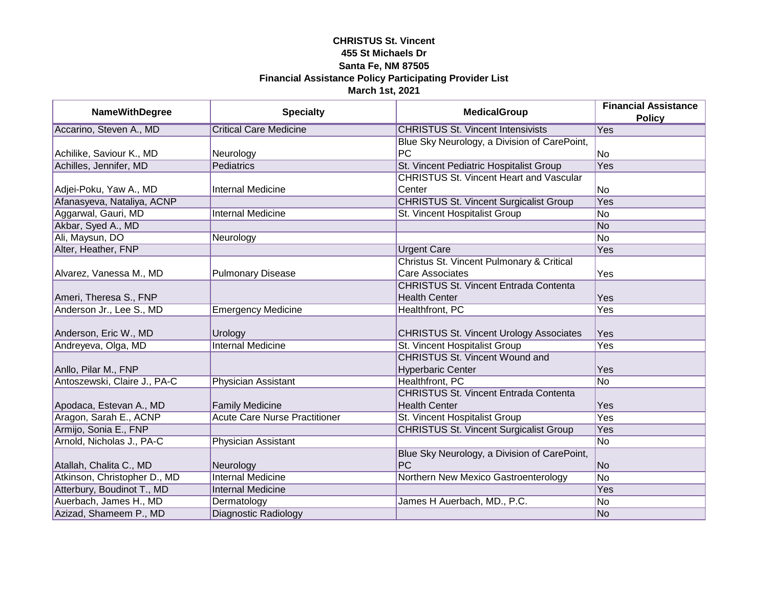| <b>NameWithDegree</b>        | <b>Specialty</b>                     | <b>MedicalGroup</b>                            | <b>Financial Assistance</b> |
|------------------------------|--------------------------------------|------------------------------------------------|-----------------------------|
|                              |                                      |                                                | <b>Policy</b>               |
| Accarino, Steven A., MD      | <b>Critical Care Medicine</b>        | <b>CHRISTUS St. Vincent Intensivists</b>       | Yes                         |
|                              |                                      | Blue Sky Neurology, a Division of CarePoint,   |                             |
| Achilike, Saviour K., MD     | Neurology                            | <b>PC</b>                                      | No                          |
| Achilles, Jennifer, MD       | Pediatrics                           | St. Vincent Pediatric Hospitalist Group        | <b>Yes</b>                  |
|                              |                                      | <b>CHRISTUS St. Vincent Heart and Vascular</b> |                             |
| Adjei-Poku, Yaw A., MD       | <b>Internal Medicine</b>             | Center                                         | No                          |
| Afanasyeva, Nataliya, ACNP   |                                      | <b>CHRISTUS St. Vincent Surgicalist Group</b>  | <b>Yes</b>                  |
| Aggarwal, Gauri, MD          | <b>Internal Medicine</b>             | St. Vincent Hospitalist Group                  | No                          |
| Akbar, Syed A., MD           |                                      |                                                | N <sub>o</sub>              |
| Ali, Maysun, DO              | Neurology                            |                                                | No                          |
| Alter, Heather, FNP          |                                      | <b>Urgent Care</b>                             | Yes                         |
|                              |                                      | Christus St. Vincent Pulmonary & Critical      |                             |
| Alvarez, Vanessa M., MD      | <b>Pulmonary Disease</b>             | <b>Care Associates</b>                         | Yes                         |
|                              |                                      | <b>CHRISTUS St. Vincent Entrada Contenta</b>   |                             |
| Ameri, Theresa S., FNP       |                                      | <b>Health Center</b>                           | Yes                         |
| Anderson Jr., Lee S., MD     | <b>Emergency Medicine</b>            | Healthfront, PC                                | Yes                         |
|                              |                                      |                                                |                             |
| Anderson, Eric W., MD        | Urology                              | <b>CHRISTUS St. Vincent Urology Associates</b> | <b>Yes</b>                  |
| Andreyeva, Olga, MD          | <b>Internal Medicine</b>             | St. Vincent Hospitalist Group                  | Yes                         |
|                              |                                      | <b>CHRISTUS St. Vincent Wound and</b>          |                             |
| Anllo, Pilar M., FNP         |                                      | <b>Hyperbaric Center</b>                       | Yes                         |
| Antoszewski, Claire J., PA-C | Physician Assistant                  | Healthfront, PC                                | No                          |
|                              |                                      | <b>CHRISTUS St. Vincent Entrada Contenta</b>   |                             |
| Apodaca, Estevan A., MD      | <b>Family Medicine</b>               | <b>Health Center</b>                           | Yes                         |
| Aragon, Sarah E., ACNP       | <b>Acute Care Nurse Practitioner</b> | St. Vincent Hospitalist Group                  | <b>Yes</b>                  |
| Armijo, Sonia E., FNP        |                                      | <b>CHRISTUS St. Vincent Surgicalist Group</b>  | Yes                         |
| Arnold, Nicholas J., PA-C    | Physician Assistant                  |                                                | No                          |
|                              |                                      | Blue Sky Neurology, a Division of CarePoint,   |                             |
| Atallah, Chalita C., MD      | Neurology                            | PC                                             | N <sub>o</sub>              |
| Atkinson, Christopher D., MD | <b>Internal Medicine</b>             | Northern New Mexico Gastroenterology           | <b>No</b>                   |
| Atterbury, Boudinot T., MD   | <b>Internal Medicine</b>             |                                                | Yes                         |
| Auerbach, James H., MD       | Dermatology                          | James H Auerbach, MD., P.C.                    | No                          |
| Azizad, Shameem P., MD       | <b>Diagnostic Radiology</b>          |                                                | No                          |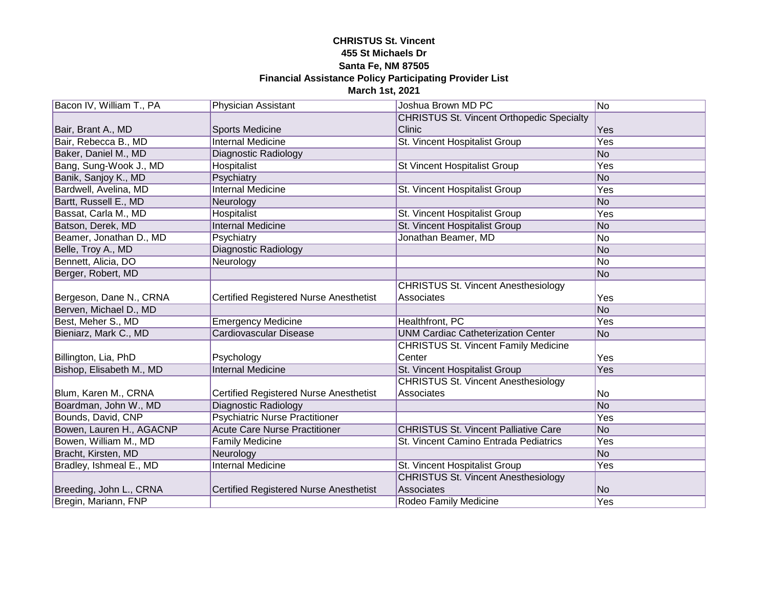| Bacon IV, William T., PA | Physician Assistant                           | Joshua Brown MD PC                               | No             |
|--------------------------|-----------------------------------------------|--------------------------------------------------|----------------|
|                          |                                               | <b>CHRISTUS St. Vincent Orthopedic Specialty</b> |                |
| Bair, Brant A., MD       | <b>Sports Medicine</b>                        | Clinic                                           | Yes            |
| Bair, Rebecca B., MD     | <b>Internal Medicine</b>                      | St. Vincent Hospitalist Group                    | Yes            |
| Baker, Daniel M., MD     | <b>Diagnostic Radiology</b>                   |                                                  | N <sub>o</sub> |
| Bang, Sung-Wook J., MD   | Hospitalist                                   | <b>St Vincent Hospitalist Group</b>              | <b>Yes</b>     |
| Banik, Sanjoy K., MD     | Psychiatry                                    |                                                  | No             |
| Bardwell, Avelina, MD    | <b>Internal Medicine</b>                      | St. Vincent Hospitalist Group                    | Yes            |
| Bartt, Russell E., MD    | Neurology                                     |                                                  | N <sub>o</sub> |
| Bassat, Carla M., MD     | Hospitalist                                   | St. Vincent Hospitalist Group                    | Yes            |
| Batson, Derek, MD        | Internal Medicine                             | St. Vincent Hospitalist Group                    | No             |
| Beamer, Jonathan D., MD  | Psychiatry                                    | Jonathan Beamer, MD                              | No             |
| Belle, Troy A., MD       | Diagnostic Radiology                          |                                                  | No             |
| Bennett, Alicia, DO      | Neurology                                     |                                                  | No             |
| Berger, Robert, MD       |                                               |                                                  | No             |
|                          |                                               | <b>CHRISTUS St. Vincent Anesthesiology</b>       |                |
| Bergeson, Dane N., CRNA  | <b>Certified Registered Nurse Anesthetist</b> | Associates                                       | Yes            |
| Berven, Michael D., MD   |                                               |                                                  | N <sub>o</sub> |
| Best, Meher S., MD       | <b>Emergency Medicine</b>                     | Healthfront, PC                                  | Yes            |
| Bieniarz, Mark C., MD    | Cardiovascular Disease                        | <b>UNM Cardiac Catheterization Center</b>        | No             |
|                          |                                               | <b>CHRISTUS St. Vincent Family Medicine</b>      |                |
| Billington, Lia, PhD     | Psychology                                    | Center                                           | Yes            |
| Bishop, Elisabeth M., MD | <b>Internal Medicine</b>                      | St. Vincent Hospitalist Group                    | Yes            |
|                          |                                               | <b>CHRISTUS St. Vincent Anesthesiology</b>       |                |
| Blum, Karen M., CRNA     | <b>Certified Registered Nurse Anesthetist</b> | Associates                                       | No             |
| Boardman, John W., MD    | <b>Diagnostic Radiology</b>                   |                                                  | No             |
| Bounds, David, CNP       | <b>Psychiatric Nurse Practitioner</b>         |                                                  | Yes            |
| Bowen, Lauren H., AGACNP | <b>Acute Care Nurse Practitioner</b>          | <b>CHRISTUS St. Vincent Palliative Care</b>      | No             |
| Bowen, William M., MD    | <b>Family Medicine</b>                        | St. Vincent Camino Entrada Pediatrics            | Yes            |
| Bracht, Kirsten, MD      | Neurology                                     |                                                  | N <sub>o</sub> |
| Bradley, Ishmeal E., MD  | <b>Internal Medicine</b>                      | St. Vincent Hospitalist Group                    | Yes            |
|                          |                                               | <b>CHRISTUS St. Vincent Anesthesiology</b>       |                |
| Breeding, John L., CRNA  | <b>Certified Registered Nurse Anesthetist</b> | <b>Associates</b>                                | No             |
| Bregin, Mariann, FNP     |                                               | Rodeo Family Medicine                            | Yes            |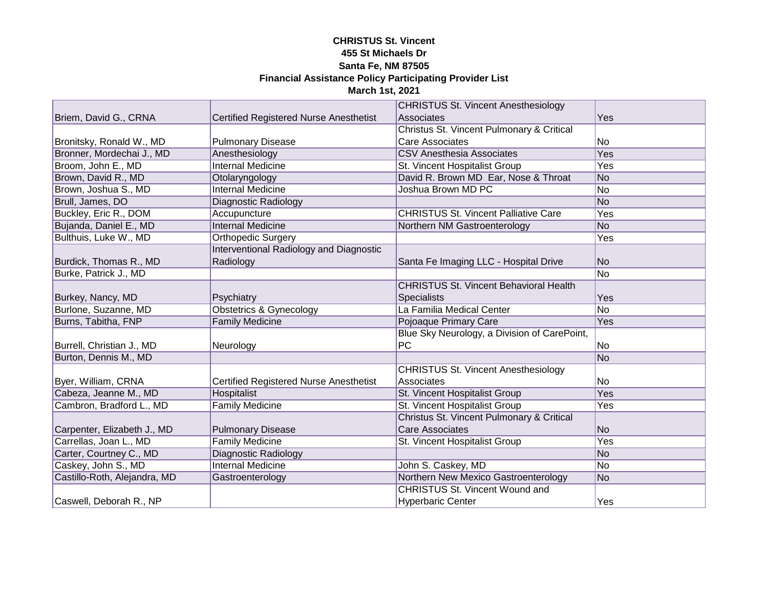|                              |                                               | <b>CHRISTUS St. Vincent Anesthesiology</b>    |                |
|------------------------------|-----------------------------------------------|-----------------------------------------------|----------------|
| Briem, David G., CRNA        | <b>Certified Registered Nurse Anesthetist</b> | Associates                                    | Yes            |
|                              |                                               | Christus St. Vincent Pulmonary & Critical     |                |
| Bronitsky, Ronald W., MD     | <b>Pulmonary Disease</b>                      | Care Associates                               | No             |
| Bronner, Mordechai J., MD    | Anesthesiology                                | <b>CSV Anesthesia Associates</b>              | <b>Yes</b>     |
| Broom, John E., MD           | <b>Internal Medicine</b>                      | St. Vincent Hospitalist Group                 | <b>Yes</b>     |
| Brown, David R., MD          | Otolaryngology                                | David R. Brown MD Ear, Nose & Throat          | N <sub>o</sub> |
| Brown, Joshua S., MD         | <b>Internal Medicine</b>                      | Joshua Brown MD PC                            | N <sub>o</sub> |
| Brull, James, DO             | Diagnostic Radiology                          |                                               | N <sub>o</sub> |
| Buckley, Eric R., DOM        | Accupuncture                                  | <b>CHRISTUS St. Vincent Palliative Care</b>   | Yes            |
| Bujanda, Daniel E., MD       | <b>Internal Medicine</b>                      | Northern NM Gastroenterology                  | No             |
| Bulthuis, Luke W., MD        | <b>Orthopedic Surgery</b>                     |                                               | Yes            |
|                              | Interventional Radiology and Diagnostic       |                                               |                |
| Burdick, Thomas R., MD       | Radiology                                     | Santa Fe Imaging LLC - Hospital Drive         | No             |
| Burke, Patrick J., MD        |                                               |                                               | No             |
|                              |                                               | <b>CHRISTUS St. Vincent Behavioral Health</b> |                |
| Burkey, Nancy, MD            | Psychiatry                                    | <b>Specialists</b>                            | Yes            |
| Burlone, Suzanne, MD         | <b>Obstetrics &amp; Gynecology</b>            | La Familia Medical Center                     | No             |
| Burns, Tabitha, FNP          | <b>Family Medicine</b>                        | Pojoaque Primary Care                         | Yes            |
|                              |                                               | Blue Sky Neurology, a Division of CarePoint,  |                |
| Burrell, Christian J., MD    | Neurology                                     | <b>PC</b>                                     | No             |
| Burton, Dennis M., MD        |                                               |                                               | No             |
|                              |                                               | <b>CHRISTUS St. Vincent Anesthesiology</b>    |                |
| Byer, William, CRNA          | <b>Certified Registered Nurse Anesthetist</b> | Associates                                    | No             |
| Cabeza, Jeanne M., MD        | Hospitalist                                   | St. Vincent Hospitalist Group                 | Yes            |
| Cambron, Bradford L., MD     | <b>Family Medicine</b>                        | St. Vincent Hospitalist Group                 | Yes            |
|                              |                                               | Christus St. Vincent Pulmonary & Critical     |                |
| Carpenter, Elizabeth J., MD  | <b>Pulmonary Disease</b>                      | <b>Care Associates</b>                        | No             |
| Carrellas, Joan L., MD       | <b>Family Medicine</b>                        | St. Vincent Hospitalist Group                 | Yes            |
| Carter, Courtney C., MD      | Diagnostic Radiology                          |                                               | N <sub>o</sub> |
| Caskey, John S., MD          | <b>Internal Medicine</b>                      | John S. Caskey, MD                            | No             |
| Castillo-Roth, Alejandra, MD | Gastroenterology                              | Northern New Mexico Gastroenterology          | No             |
|                              |                                               | <b>CHRISTUS St. Vincent Wound and</b>         |                |
| Caswell, Deborah R., NP      |                                               | <b>Hyperbaric Center</b>                      | Yes            |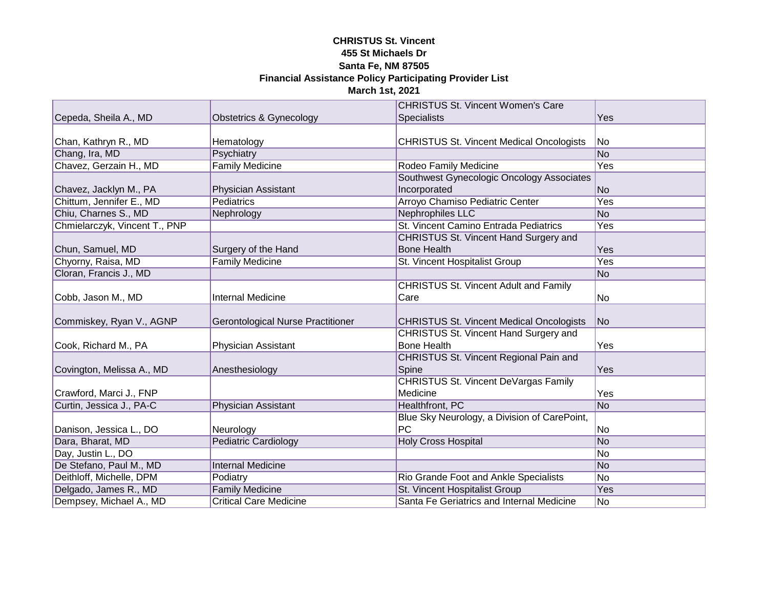|                               |                                          | <b>CHRISTUS St. Vincent Women's Care</b>        |            |
|-------------------------------|------------------------------------------|-------------------------------------------------|------------|
| Cepeda, Sheila A., MD         | Obstetrics & Gynecology                  | <b>Specialists</b>                              | <b>Yes</b> |
|                               |                                          |                                                 |            |
| Chan, Kathryn R., MD          | Hematology                               | <b>CHRISTUS St. Vincent Medical Oncologists</b> | No.        |
| Chang, Ira, MD                | Psychiatry                               |                                                 | No         |
| Chavez, Gerzain H., MD        | <b>Family Medicine</b>                   | Rodeo Family Medicine                           | Yes        |
|                               |                                          | Southwest Gynecologic Oncology Associates       |            |
| Chavez, Jacklyn M., PA        | <b>Physician Assistant</b>               | Incorporated                                    | No         |
| Chittum, Jennifer E., MD      | <b>Pediatrics</b>                        | Arroyo Chamiso Pediatric Center                 | Yes        |
| Chiu, Charnes S., MD          | Nephrology                               | Nephrophiles LLC                                | No         |
| Chmielarczyk, Vincent T., PNP |                                          | St. Vincent Camino Entrada Pediatrics           | Yes        |
|                               |                                          | CHRISTUS St. Vincent Hand Surgery and           |            |
| Chun, Samuel, MD              | Surgery of the Hand                      | <b>Bone Health</b>                              | Yes        |
| Chyorny, Raisa, MD            | <b>Family Medicine</b>                   | St. Vincent Hospitalist Group                   | Yes        |
| Cloran, Francis J., MD        |                                          |                                                 | No         |
|                               |                                          | <b>CHRISTUS St. Vincent Adult and Family</b>    |            |
| Cobb, Jason M., MD            | <b>Internal Medicine</b>                 | Care                                            | No         |
|                               |                                          |                                                 |            |
| Commiskey, Ryan V., AGNP      | <b>Gerontological Nurse Practitioner</b> | <b>CHRISTUS St. Vincent Medical Oncologists</b> | No         |
|                               |                                          | CHRISTUS St. Vincent Hand Surgery and           |            |
| Cook, Richard M., PA          | Physician Assistant                      | <b>Bone Health</b>                              | Yes        |
|                               |                                          | CHRISTUS St. Vincent Regional Pain and          |            |
| Covington, Melissa A., MD     | Anesthesiology                           | Spine                                           | <b>Yes</b> |
|                               |                                          | <b>CHRISTUS St. Vincent DeVargas Family</b>     |            |
| Crawford, Marci J., FNP       |                                          | Medicine                                        | Yes        |
| Curtin, Jessica J., PA-C      | <b>Physician Assistant</b>               | Healthfront, PC                                 | No         |
|                               |                                          | Blue Sky Neurology, a Division of CarePoint,    |            |
| Danison, Jessica L., DO       | Neurology                                | <b>PC</b>                                       | No         |
| Dara, Bharat, MD              | <b>Pediatric Cardiology</b>              | <b>Holy Cross Hospital</b>                      | No         |
| Day, Justin L., DO            |                                          |                                                 | No         |
| De Stefano, Paul M., MD       | <b>Internal Medicine</b>                 |                                                 | No         |
| Deithloff, Michelle, DPM      | Podiatry                                 | Rio Grande Foot and Ankle Specialists           | No         |
| Delgado, James R., MD         | <b>Family Medicine</b>                   | St. Vincent Hospitalist Group                   | <b>Yes</b> |
| Dempsey, Michael A., MD       | <b>Critical Care Medicine</b>            | Santa Fe Geriatrics and Internal Medicine       | No         |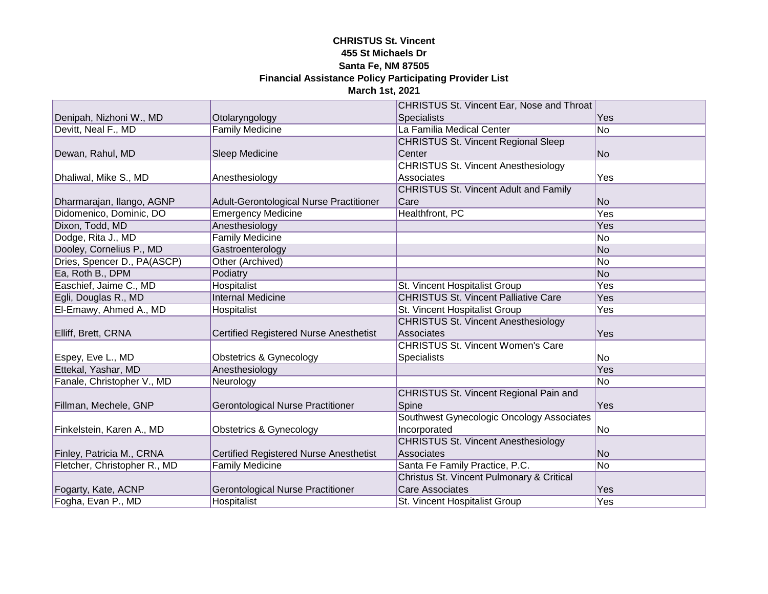|                              |                                               | CHRISTUS St. Vincent Ear, Nose and Throat    |     |
|------------------------------|-----------------------------------------------|----------------------------------------------|-----|
| Denipah, Nizhoni W., MD      | Otolaryngology                                | <b>Specialists</b>                           | Yes |
| Devitt, Neal F., MD          | <b>Family Medicine</b>                        | La Familia Medical Center                    | No  |
|                              |                                               | <b>CHRISTUS St. Vincent Regional Sleep</b>   |     |
| Dewan, Rahul, MD             | Sleep Medicine                                | Center                                       | No  |
|                              |                                               | <b>CHRISTUS St. Vincent Anesthesiology</b>   |     |
| Dhaliwal, Mike S., MD        | Anesthesiology                                | Associates                                   | Yes |
|                              |                                               | <b>CHRISTUS St. Vincent Adult and Family</b> |     |
| Dharmarajan, Ilango, AGNP    | Adult-Gerontological Nurse Practitioner       | Care                                         | No  |
| Didomenico, Dominic, DO      | <b>Emergency Medicine</b>                     | Healthfront, PC                              | Yes |
| Dixon, Todd, MD              | Anesthesiology                                |                                              | Yes |
| Dodge, Rita J., MD           | <b>Family Medicine</b>                        |                                              | No  |
| Dooley, Cornelius P., MD     | Gastroenterology                              |                                              | No  |
| Dries, Spencer D., PA(ASCP)  | Other (Archived)                              |                                              | No  |
| Ea, Roth B., DPM             | Podiatry                                      |                                              | No  |
| Easchief, Jaime C., MD       | Hospitalist                                   | St. Vincent Hospitalist Group                | Yes |
| Egli, Douglas R., MD         | <b>Internal Medicine</b>                      | <b>CHRISTUS St. Vincent Palliative Care</b>  | Yes |
| El-Emawy, Ahmed A., MD       | Hospitalist                                   | St. Vincent Hospitalist Group                | Yes |
|                              |                                               | <b>CHRISTUS St. Vincent Anesthesiology</b>   |     |
| Elliff, Brett, CRNA          | <b>Certified Registered Nurse Anesthetist</b> | Associates                                   | Yes |
|                              |                                               | <b>CHRISTUS St. Vincent Women's Care</b>     |     |
| Espey, Eve L., MD            | <b>Obstetrics &amp; Gynecology</b>            | <b>Specialists</b>                           | No  |
| Ettekal, Yashar, MD          | Anesthesiology                                |                                              | Yes |
| Fanale, Christopher V., MD   | Neurology                                     |                                              | No  |
|                              |                                               | CHRISTUS St. Vincent Regional Pain and       |     |
| Fillman, Mechele, GNP        | Gerontological Nurse Practitioner             | Spine                                        | Yes |
|                              |                                               | Southwest Gynecologic Oncology Associates    |     |
| Finkelstein, Karen A., MD    | <b>Obstetrics &amp; Gynecology</b>            | Incorporated                                 | No  |
|                              |                                               | <b>CHRISTUS St. Vincent Anesthesiology</b>   |     |
| Finley, Patricia M., CRNA    | <b>Certified Registered Nurse Anesthetist</b> | Associates                                   | No  |
| Fletcher, Christopher R., MD | <b>Family Medicine</b>                        | Santa Fe Family Practice, P.C.               | No  |
|                              |                                               | Christus St. Vincent Pulmonary & Critical    |     |
| Fogarty, Kate, ACNP          | Gerontological Nurse Practitioner             | <b>Care Associates</b>                       | Yes |
| Fogha, Evan P., MD           | Hospitalist                                   | St. Vincent Hospitalist Group                | Yes |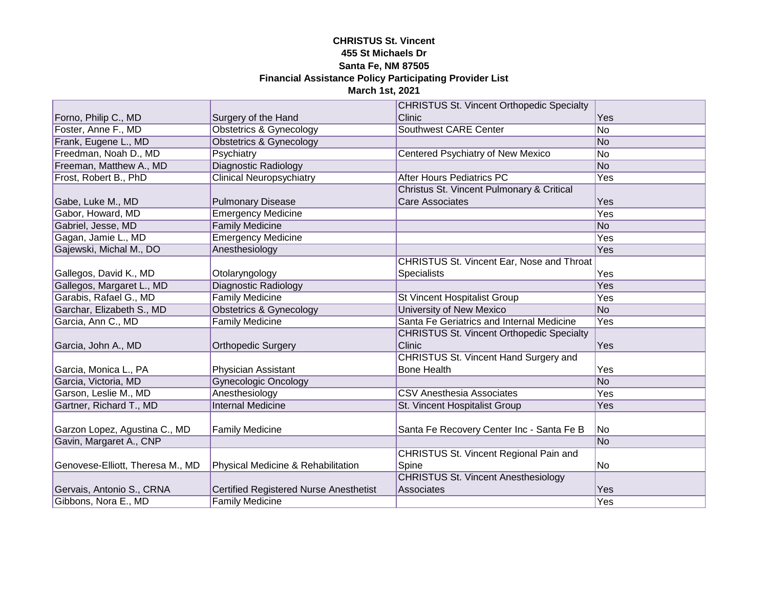|                                  |                                               | <b>CHRISTUS St. Vincent Orthopedic Specialty</b> |                |
|----------------------------------|-----------------------------------------------|--------------------------------------------------|----------------|
| Forno, Philip C., MD             | Surgery of the Hand                           | Clinic                                           | Yes            |
| Foster, Anne F., MD              | <b>Obstetrics &amp; Gynecology</b>            | <b>Southwest CARE Center</b>                     | N <sub>o</sub> |
| Frank, Eugene L., MD             | <b>Obstetrics &amp; Gynecology</b>            |                                                  | No             |
| Freedman, Noah D., MD            | Psychiatry                                    | Centered Psychiatry of New Mexico                | No             |
| Freeman, Matthew A., MD          | Diagnostic Radiology                          |                                                  | No             |
| Frost, Robert B., PhD            | <b>Clinical Neuropsychiatry</b>               | <b>After Hours Pediatrics PC</b>                 | Yes            |
|                                  |                                               | Christus St. Vincent Pulmonary & Critical        |                |
| Gabe, Luke M., MD                | <b>Pulmonary Disease</b>                      | <b>Care Associates</b>                           | Yes            |
| Gabor, Howard, MD                | <b>Emergency Medicine</b>                     |                                                  | Yes            |
| Gabriel, Jesse, MD               | <b>Family Medicine</b>                        |                                                  | No             |
| Gagan, Jamie L., MD              | <b>Emergency Medicine</b>                     |                                                  | Yes            |
| Gajewski, Michal M., DO          | Anesthesiology                                |                                                  | Yes            |
|                                  |                                               | CHRISTUS St. Vincent Ear, Nose and Throat        |                |
| Gallegos, David K., MD           | Otolaryngology                                | Specialists                                      | Yes            |
| Gallegos, Margaret L., MD        | <b>Diagnostic Radiology</b>                   |                                                  | Yes            |
| Garabis, Rafael G., MD           | <b>Family Medicine</b>                        | St Vincent Hospitalist Group                     | Yes            |
| Garchar, Elizabeth S., MD        | <b>Obstetrics &amp; Gynecology</b>            | University of New Mexico                         | No             |
| Garcia, Ann C., MD               | <b>Family Medicine</b>                        | Santa Fe Geriatrics and Internal Medicine        | Yes            |
|                                  |                                               | <b>CHRISTUS St. Vincent Orthopedic Specialty</b> |                |
| Garcia, John A., MD              | <b>Orthopedic Surgery</b>                     | Clinic                                           | Yes            |
|                                  |                                               | CHRISTUS St. Vincent Hand Surgery and            |                |
| Garcia, Monica L., PA            | <b>Physician Assistant</b>                    | <b>Bone Health</b>                               | Yes            |
| Garcia, Victoria, MD             | <b>Gynecologic Oncology</b>                   |                                                  | N <sub>o</sub> |
| Garson, Leslie M., MD            | Anesthesiology                                | <b>CSV Anesthesia Associates</b>                 | Yes            |
| Gartner, Richard T., MD          | <b>Internal Medicine</b>                      | St. Vincent Hospitalist Group                    | Yes            |
|                                  |                                               |                                                  |                |
| Garzon Lopez, Agustina C., MD    | <b>Family Medicine</b>                        | Santa Fe Recovery Center Inc - Santa Fe B        | No             |
| Gavin, Margaret A., CNP          |                                               |                                                  | No             |
|                                  |                                               | CHRISTUS St. Vincent Regional Pain and           |                |
| Genovese-Elliott, Theresa M., MD | Physical Medicine & Rehabilitation            | Spine                                            | No             |
|                                  |                                               | <b>CHRISTUS St. Vincent Anesthesiology</b>       |                |
| Gervais, Antonio S., CRNA        | <b>Certified Registered Nurse Anesthetist</b> | Associates                                       | Yes            |
| Gibbons, Nora E., MD             | <b>Family Medicine</b>                        |                                                  | Yes            |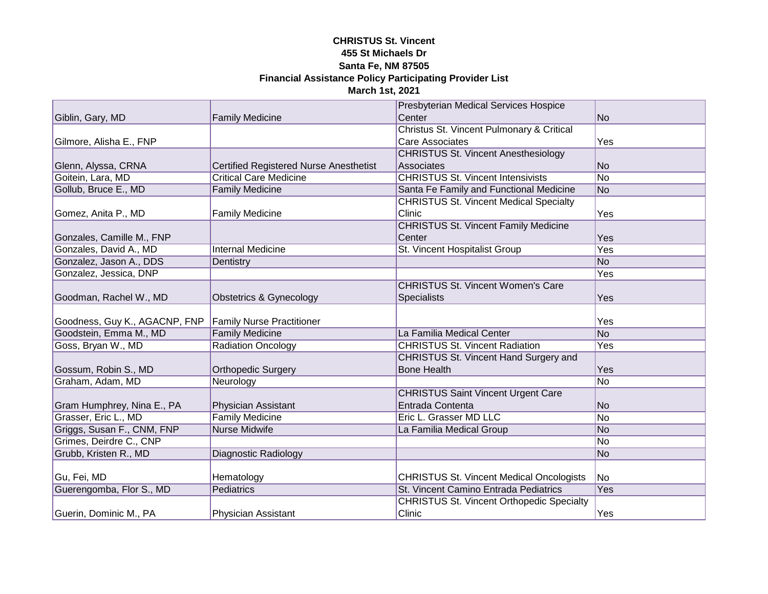|                               |                                               | Presbyterian Medical Services Hospice            |                |
|-------------------------------|-----------------------------------------------|--------------------------------------------------|----------------|
| Giblin, Gary, MD              | <b>Family Medicine</b>                        | Center                                           | N <sub>o</sub> |
|                               |                                               | Christus St. Vincent Pulmonary & Critical        |                |
| Gilmore, Alisha E., FNP       |                                               | <b>Care Associates</b>                           | Yes            |
|                               |                                               | <b>CHRISTUS St. Vincent Anesthesiology</b>       |                |
| Glenn, Alyssa, CRNA           | <b>Certified Registered Nurse Anesthetist</b> | Associates                                       | No             |
| Goitein, Lara, MD             | <b>Critical Care Medicine</b>                 | <b>CHRISTUS St. Vincent Intensivists</b>         | N <sub>o</sub> |
| Gollub, Bruce E., MD          | <b>Family Medicine</b>                        | Santa Fe Family and Functional Medicine          | N <sub>o</sub> |
|                               |                                               | <b>CHRISTUS St. Vincent Medical Specialty</b>    |                |
| Gomez, Anita P., MD           | <b>Family Medicine</b>                        | Clinic                                           | Yes            |
|                               |                                               | <b>CHRISTUS St. Vincent Family Medicine</b>      |                |
| Gonzales, Camille M., FNP     |                                               | Center                                           | <b>Yes</b>     |
| Gonzales, David A., MD        | <b>Internal Medicine</b>                      | St. Vincent Hospitalist Group                    | Yes            |
| Gonzalez, Jason A., DDS       | Dentistry                                     |                                                  | N <sub>o</sub> |
| Gonzalez, Jessica, DNP        |                                               |                                                  | Yes            |
|                               |                                               | <b>CHRISTUS St. Vincent Women's Care</b>         |                |
| Goodman, Rachel W., MD        | Obstetrics & Gynecology                       | Specialists                                      | Yes            |
|                               |                                               |                                                  |                |
| Goodness, Guy K., AGACNP, FNP | <b>Family Nurse Practitioner</b>              |                                                  | Yes            |
| Goodstein, Emma M., MD        | <b>Family Medicine</b>                        | La Familia Medical Center                        | N <sub>o</sub> |
| Goss, Bryan W., MD            | <b>Radiation Oncology</b>                     | <b>CHRISTUS St. Vincent Radiation</b>            | Yes            |
|                               |                                               | CHRISTUS St. Vincent Hand Surgery and            |                |
| Gossum, Robin S., MD          | <b>Orthopedic Surgery</b>                     | <b>Bone Health</b>                               | Yes            |
| Graham, Adam, MD              | Neurology                                     |                                                  | No             |
|                               |                                               | <b>CHRISTUS Saint Vincent Urgent Care</b>        |                |
| Gram Humphrey, Nina E., PA    | Physician Assistant                           | Entrada Contenta                                 | No             |
| Grasser, Eric L., MD          | <b>Family Medicine</b>                        | Eric L. Grasser MD LLC                           | No             |
| Griggs, Susan F., CNM, FNP    | <b>Nurse Midwife</b>                          | La Familia Medical Group                         | No             |
| Grimes, Deirdre C., CNP       |                                               |                                                  | No             |
| Grubb, Kristen R., MD         | <b>Diagnostic Radiology</b>                   |                                                  | No             |
|                               |                                               |                                                  |                |
| Gu, Fei, MD                   | Hematology                                    | <b>CHRISTUS St. Vincent Medical Oncologists</b>  | No             |
| Guerengomba, Flor S., MD      | Pediatrics                                    | St. Vincent Camino Entrada Pediatrics            | Yes            |
|                               |                                               | <b>CHRISTUS St. Vincent Orthopedic Specialty</b> |                |
| Guerin, Dominic M., PA        | <b>Physician Assistant</b>                    | Clinic                                           | Yes            |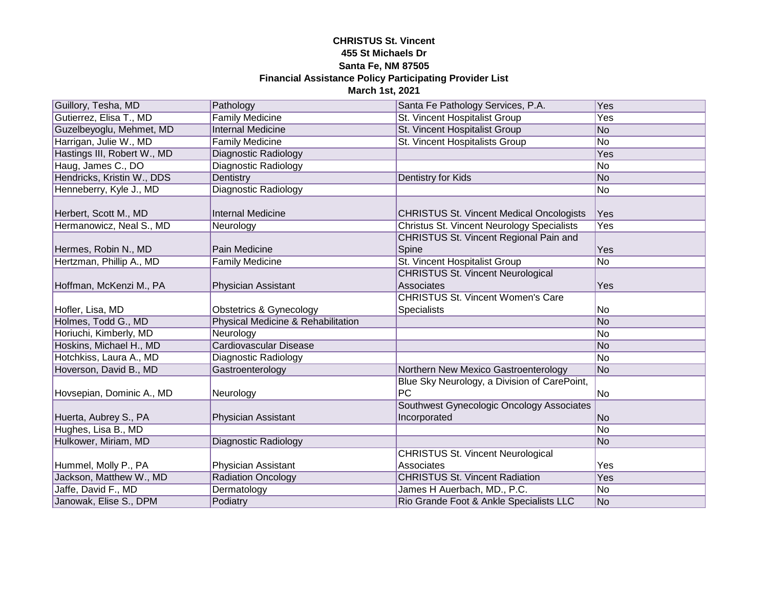| Guillory, Tesha, MD         | Pathology                          | Santa Fe Pathology Services, P.A.               | Yes            |
|-----------------------------|------------------------------------|-------------------------------------------------|----------------|
| Gutierrez, Elisa T., MD     | <b>Family Medicine</b>             | St. Vincent Hospitalist Group                   | Yes            |
| Guzelbeyoglu, Mehmet, MD    | <b>Internal Medicine</b>           | St. Vincent Hospitalist Group                   | No             |
| Harrigan, Julie W., MD      | <b>Family Medicine</b>             | St. Vincent Hospitalists Group                  | No             |
| Hastings III, Robert W., MD | <b>Diagnostic Radiology</b>        |                                                 | <b>Yes</b>     |
| Haug, James C., DO          | Diagnostic Radiology               |                                                 | N <sub>o</sub> |
| Hendricks, Kristin W., DDS  | Dentistry                          | Dentistry for Kids                              | No             |
| Henneberry, Kyle J., MD     | Diagnostic Radiology               |                                                 | N <sub>o</sub> |
|                             |                                    |                                                 |                |
| Herbert, Scott M., MD       | <b>Internal Medicine</b>           | <b>CHRISTUS St. Vincent Medical Oncologists</b> | Yes            |
| Hermanowicz, Neal S., MD    | Neurology                          | Christus St. Vincent Neurology Specialists      | Yes            |
|                             |                                    | CHRISTUS St. Vincent Regional Pain and          |                |
| Hermes, Robin N., MD        | Pain Medicine                      | Spine                                           | Yes            |
| Hertzman, Phillip A., MD    | <b>Family Medicine</b>             | St. Vincent Hospitalist Group                   | No             |
|                             |                                    | <b>CHRISTUS St. Vincent Neurological</b>        |                |
| Hoffman, McKenzi M., PA     | Physician Assistant                | Associates                                      | Yes            |
|                             |                                    | <b>CHRISTUS St. Vincent Women's Care</b>        |                |
| Hofler, Lisa, MD            | <b>Obstetrics &amp; Gynecology</b> | Specialists                                     | No             |
| Holmes, Todd G., MD         | Physical Medicine & Rehabilitation |                                                 | No             |
| Horiuchi, Kimberly, MD      | Neurology                          |                                                 | No             |
| Hoskins, Michael H., MD     | <b>Cardiovascular Disease</b>      |                                                 | No             |
| Hotchkiss, Laura A., MD     | Diagnostic Radiology               |                                                 | No             |
| Hoverson, David B., MD      | Gastroenterology                   | Northern New Mexico Gastroenterology            | No             |
|                             |                                    | Blue Sky Neurology, a Division of CarePoint,    |                |
| Hovsepian, Dominic A., MD   | Neurology                          | <b>PC</b>                                       | No             |
|                             |                                    | Southwest Gynecologic Oncology Associates       |                |
| Huerta, Aubrey S., PA       | Physician Assistant                | Incorporated                                    | No             |
| Hughes, Lisa B., MD         |                                    |                                                 | N <sub>o</sub> |
| Hulkower, Miriam, MD        | <b>Diagnostic Radiology</b>        |                                                 | No             |
|                             |                                    | <b>CHRISTUS St. Vincent Neurological</b>        |                |
| Hummel, Molly P., PA        | Physician Assistant                | Associates                                      | Yes            |
| Jackson, Matthew W., MD     | <b>Radiation Oncology</b>          | <b>CHRISTUS St. Vincent Radiation</b>           | Yes            |
| Jaffe, David F., MD         | Dermatology                        | James H Auerbach, MD., P.C.                     | No             |
| Janowak, Elise S., DPM      | Podiatry                           | Rio Grande Foot & Ankle Specialists LLC         | No             |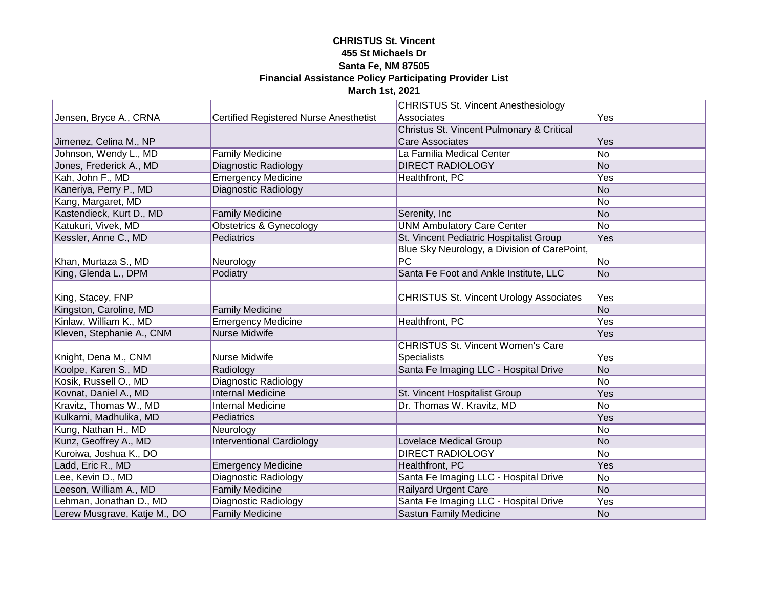|                              |                                               | <b>CHRISTUS St. Vincent Anesthesiology</b>     |                |
|------------------------------|-----------------------------------------------|------------------------------------------------|----------------|
| Jensen, Bryce A., CRNA       | <b>Certified Registered Nurse Anesthetist</b> | Associates                                     | Yes            |
|                              |                                               | Christus St. Vincent Pulmonary & Critical      |                |
| Jimenez, Celina M., NP       |                                               | <b>Care Associates</b>                         | Yes            |
| Johnson, Wendy L., MD        | <b>Family Medicine</b>                        | La Familia Medical Center                      | N <sub>o</sub> |
| Jones, Frederick A., MD      | Diagnostic Radiology                          | <b>DIRECT RADIOLOGY</b>                        | No             |
| Kah, John F., MD             | <b>Emergency Medicine</b>                     | Healthfront, PC                                | Yes            |
| Kaneriya, Perry P., MD       | <b>Diagnostic Radiology</b>                   |                                                | No             |
| Kang, Margaret, MD           |                                               |                                                | N <sub>o</sub> |
| Kastendieck, Kurt D., MD     | <b>Family Medicine</b>                        | Serenity, Inc                                  | No             |
| Katukuri, Vivek, MD          | Obstetrics & Gynecology                       | <b>UNM Ambulatory Care Center</b>              | No             |
| Kessler, Anne C., MD         | Pediatrics                                    | St. Vincent Pediatric Hospitalist Group        | Yes            |
|                              |                                               | Blue Sky Neurology, a Division of CarePoint,   |                |
| Khan, Murtaza S., MD         | Neurology                                     | PC                                             | No             |
| King, Glenda L., DPM         | Podiatry                                      | Santa Fe Foot and Ankle Institute, LLC         | No             |
|                              |                                               |                                                |                |
| King, Stacey, FNP            |                                               | <b>CHRISTUS St. Vincent Urology Associates</b> | Yes            |
| Kingston, Caroline, MD       | <b>Family Medicine</b>                        |                                                | N <sub>o</sub> |
| Kinlaw, William K., MD       | <b>Emergency Medicine</b>                     | Healthfront, PC                                | Yes            |
| Kleven, Stephanie A., CNM    | <b>Nurse Midwife</b>                          |                                                | Yes            |
|                              |                                               | <b>CHRISTUS St. Vincent Women's Care</b>       |                |
| Knight, Dena M., CNM         | Nurse Midwife                                 | <b>Specialists</b>                             | Yes            |
| Koolpe, Karen S., MD         | Radiology                                     | Santa Fe Imaging LLC - Hospital Drive          | No             |
| Kosik, Russell O., MD        | <b>Diagnostic Radiology</b>                   |                                                | No             |
| Kovnat, Daniel A., MD        | <b>Internal Medicine</b>                      | St. Vincent Hospitalist Group                  | Yes            |
| Kravitz, Thomas W., MD       | <b>Internal Medicine</b>                      | Dr. Thomas W. Kravitz, MD                      | No             |
| Kulkarni, Madhulika, MD      | Pediatrics                                    |                                                | Yes            |
| Kung, Nathan H., MD          | Neurology                                     |                                                | No             |
| Kunz, Geoffrey A., MD        | <b>Interventional Cardiology</b>              | <b>Lovelace Medical Group</b>                  | No             |
| Kuroiwa, Joshua K., DO       |                                               | <b>DIRECT RADIOLOGY</b>                        | No             |
| Ladd, Eric R., MD            | <b>Emergency Medicine</b>                     | Healthfront, PC                                | Yes            |
| Lee, Kevin D., MD            | <b>Diagnostic Radiology</b>                   | Santa Fe Imaging LLC - Hospital Drive          | No             |
| Leeson, William A., MD       | <b>Family Medicine</b>                        | <b>Railyard Urgent Care</b>                    | No             |
| Lehman, Jonathan D., MD      | <b>Diagnostic Radiology</b>                   | Santa Fe Imaging LLC - Hospital Drive          | Yes            |
| Lerew Musgrave, Katje M., DO | <b>Family Medicine</b>                        | Sastun Family Medicine                         | No             |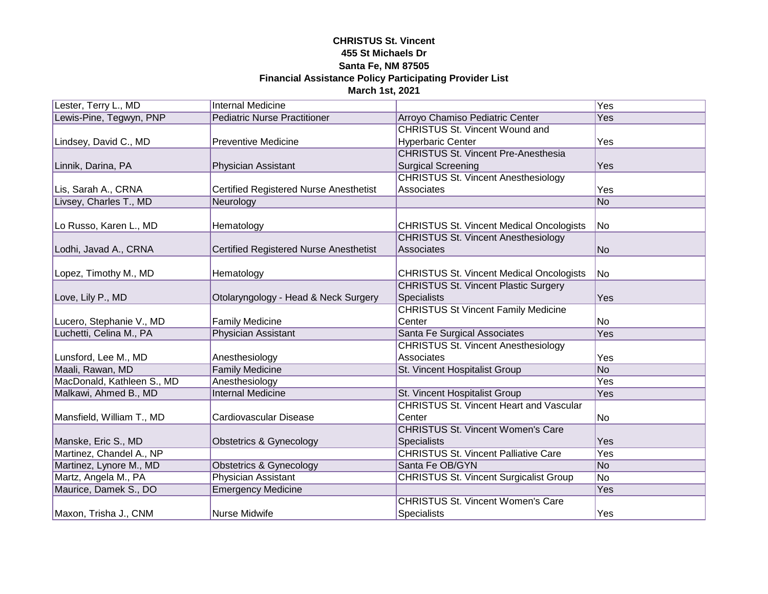| Lester, Terry L., MD       | <b>Internal Medicine</b>                      |                                                 | Yes             |
|----------------------------|-----------------------------------------------|-------------------------------------------------|-----------------|
| Lewis-Pine, Tegwyn, PNP    | <b>Pediatric Nurse Practitioner</b>           | Arroyo Chamiso Pediatric Center                 | Yes             |
|                            |                                               | <b>CHRISTUS St. Vincent Wound and</b>           |                 |
| Lindsey, David C., MD      | <b>Preventive Medicine</b>                    | <b>Hyperbaric Center</b>                        | Yes             |
|                            |                                               | <b>CHRISTUS St. Vincent Pre-Anesthesia</b>      |                 |
| Linnik, Darina, PA         | <b>Physician Assistant</b>                    | <b>Surgical Screening</b>                       | <b>Yes</b>      |
|                            |                                               | <b>CHRISTUS St. Vincent Anesthesiology</b>      |                 |
| Lis, Sarah A., CRNA        | <b>Certified Registered Nurse Anesthetist</b> | Associates                                      | Yes             |
| Livsey, Charles T., MD     | Neurology                                     |                                                 | N <sub>o</sub>  |
|                            |                                               |                                                 |                 |
| Lo Russo, Karen L., MD     | Hematology                                    | <b>CHRISTUS St. Vincent Medical Oncologists</b> | No              |
|                            |                                               | <b>CHRISTUS St. Vincent Anesthesiology</b>      |                 |
| Lodhi, Javad A., CRNA      | <b>Certified Registered Nurse Anesthetist</b> | Associates                                      | <b>No</b>       |
|                            |                                               |                                                 |                 |
| Lopez, Timothy M., MD      | Hematology                                    | <b>CHRISTUS St. Vincent Medical Oncologists</b> | No              |
|                            |                                               | <b>CHRISTUS St. Vincent Plastic Surgery</b>     |                 |
| Love, Lily P., MD          | Otolaryngology - Head & Neck Surgery          | Specialists                                     | Yes             |
|                            |                                               | <b>CHRISTUS St Vincent Family Medicine</b>      |                 |
| Lucero, Stephanie V., MD   | <b>Family Medicine</b>                        | Center                                          | No              |
| Luchetti, Celina M., PA    | Physician Assistant                           | Santa Fe Surgical Associates                    | Yes             |
|                            |                                               | <b>CHRISTUS St. Vincent Anesthesiology</b>      |                 |
| Lunsford, Lee M., MD       | Anesthesiology                                | Associates                                      | Yes             |
| Maali, Rawan, MD           | <b>Family Medicine</b>                        | St. Vincent Hospitalist Group                   | $\overline{No}$ |
| MacDonald, Kathleen S., MD | Anesthesiology                                |                                                 | Yes             |
| Malkawi, Ahmed B., MD      | <b>Internal Medicine</b>                      | St. Vincent Hospitalist Group                   | Yes             |
|                            |                                               | <b>CHRISTUS St. Vincent Heart and Vascular</b>  |                 |
| Mansfield, William T., MD  | Cardiovascular Disease                        | Center                                          | No              |
|                            |                                               | <b>CHRISTUS St. Vincent Women's Care</b>        |                 |
| Manske, Eric S., MD        | <b>Obstetrics &amp; Gynecology</b>            | <b>Specialists</b>                              | Yes             |
| Martinez, Chandel A., NP   |                                               | <b>CHRISTUS St. Vincent Palliative Care</b>     | Yes             |
| Martinez, Lynore M., MD    | <b>Obstetrics &amp; Gynecology</b>            | Santa Fe OB/GYN                                 | <b>No</b>       |
| Martz, Angela M., PA       | <b>Physician Assistant</b>                    | <b>CHRISTUS St. Vincent Surgicalist Group</b>   | $\overline{No}$ |
| Maurice, Damek S., DO      | <b>Emergency Medicine</b>                     |                                                 | Yes             |
|                            |                                               | <b>CHRISTUS St. Vincent Women's Care</b>        |                 |
| Maxon, Trisha J., CNM      | Nurse Midwife                                 | Specialists                                     | Yes             |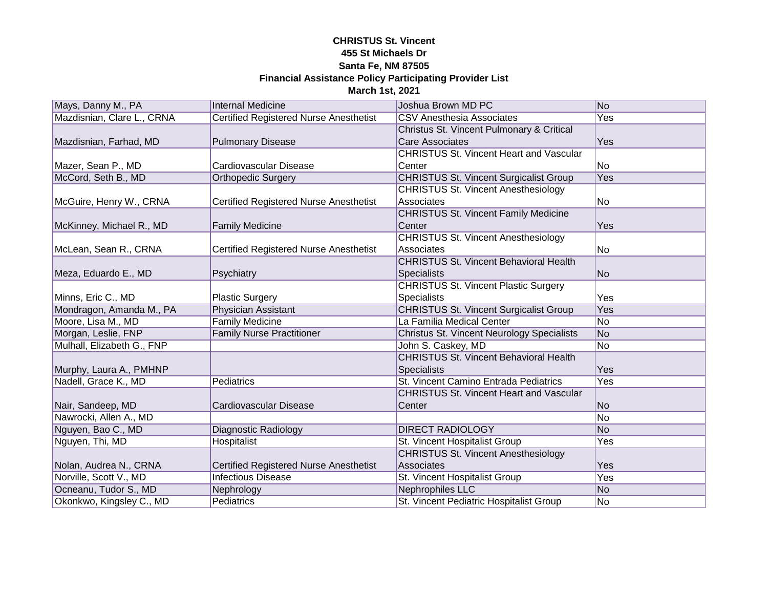| Mays, Danny M., PA         | <b>Internal Medicine</b>                      | Joshua Brown MD PC                                | N <sub>o</sub>  |
|----------------------------|-----------------------------------------------|---------------------------------------------------|-----------------|
| Mazdisnian, Clare L., CRNA | <b>Certified Registered Nurse Anesthetist</b> | <b>CSV Anesthesia Associates</b>                  | Yes             |
|                            |                                               | Christus St. Vincent Pulmonary & Critical         |                 |
| Mazdisnian, Farhad, MD     | <b>Pulmonary Disease</b>                      | <b>Care Associates</b>                            | Yes             |
|                            |                                               | <b>CHRISTUS St. Vincent Heart and Vascular</b>    |                 |
| Mazer, Sean P., MD         | Cardiovascular Disease                        | Center                                            | No              |
| McCord, Seth B., MD        | <b>Orthopedic Surgery</b>                     | <b>CHRISTUS St. Vincent Surgicalist Group</b>     | <b>Yes</b>      |
|                            |                                               | <b>CHRISTUS St. Vincent Anesthesiology</b>        |                 |
| McGuire, Henry W., CRNA    | <b>Certified Registered Nurse Anesthetist</b> | Associates                                        | No              |
|                            |                                               | <b>CHRISTUS St. Vincent Family Medicine</b>       |                 |
| McKinney, Michael R., MD   | <b>Family Medicine</b>                        | Center                                            | Yes             |
|                            |                                               | <b>CHRISTUS St. Vincent Anesthesiology</b>        |                 |
| McLean, Sean R., CRNA      | <b>Certified Registered Nurse Anesthetist</b> | Associates                                        | No              |
|                            |                                               | <b>CHRISTUS St. Vincent Behavioral Health</b>     |                 |
| Meza, Eduardo E., MD       | Psychiatry                                    | <b>Specialists</b>                                | No              |
|                            |                                               | <b>CHRISTUS St. Vincent Plastic Surgery</b>       |                 |
| Minns, Eric C., MD         | Plastic Surgery                               | <b>Specialists</b>                                | Yes             |
| Mondragon, Amanda M., PA   | Physician Assistant                           | <b>CHRISTUS St. Vincent Surgicalist Group</b>     | Yes             |
| Moore, Lisa M., MD         | <b>Family Medicine</b>                        | La Familia Medical Center                         | $\overline{No}$ |
| Morgan, Leslie, FNP        | <b>Family Nurse Practitioner</b>              | <b>Christus St. Vincent Neurology Specialists</b> | No              |
| Mulhall, Elizabeth G., FNP |                                               | John S. Caskey, MD                                | <b>No</b>       |
|                            |                                               | <b>CHRISTUS St. Vincent Behavioral Health</b>     |                 |
| Murphy, Laura A., PMHNP    |                                               | <b>Specialists</b>                                | Yes             |
| Nadell, Grace K., MD       | Pediatrics                                    | St. Vincent Camino Entrada Pediatrics             | Yes             |
|                            |                                               | <b>CHRISTUS St. Vincent Heart and Vascular</b>    |                 |
| Nair, Sandeep, MD          | Cardiovascular Disease                        | Center                                            | N <sub>o</sub>  |
| Nawrocki, Allen A., MD     |                                               |                                                   | No              |
| Nguyen, Bao C., MD         | <b>Diagnostic Radiology</b>                   | <b>DIRECT RADIOLOGY</b>                           | N <sub>o</sub>  |
| Nguyen, Thi, MD            | Hospitalist                                   | St. Vincent Hospitalist Group                     | Yes             |
|                            |                                               | <b>CHRISTUS St. Vincent Anesthesiology</b>        |                 |
| Nolan, Audrea N., CRNA     | <b>Certified Registered Nurse Anesthetist</b> | Associates                                        | Yes             |
| Norville, Scott V., MD     | <b>Infectious Disease</b>                     | St. Vincent Hospitalist Group                     | Yes             |
| Ocneanu, Tudor S., MD      | Nephrology                                    | <b>Nephrophiles LLC</b>                           | No              |
| Okonkwo, Kingsley C., MD   | Pediatrics                                    | St. Vincent Pediatric Hospitalist Group           | No              |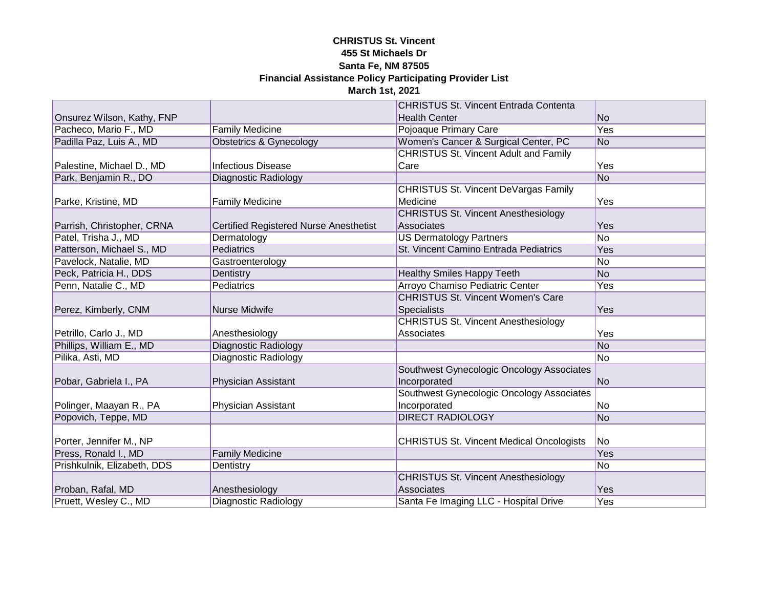|                             |                                               | <b>CHRISTUS St. Vincent Entrada Contenta</b>    |                 |
|-----------------------------|-----------------------------------------------|-------------------------------------------------|-----------------|
| Onsurez Wilson, Kathy, FNP  |                                               | <b>Health Center</b>                            | N <sub>o</sub>  |
| Pacheco, Mario F., MD       | <b>Family Medicine</b>                        | Pojoaque Primary Care                           | <b>Yes</b>      |
| Padilla Paz, Luis A., MD    | <b>Obstetrics &amp; Gynecology</b>            | Women's Cancer & Surgical Center, PC            | No              |
|                             |                                               | <b>CHRISTUS St. Vincent Adult and Family</b>    |                 |
| Palestine, Michael D., MD   | <b>Infectious Disease</b>                     | Care                                            | Yes             |
| Park, Benjamin R., DO       | <b>Diagnostic Radiology</b>                   |                                                 | N <sub>o</sub>  |
|                             |                                               | <b>CHRISTUS St. Vincent DeVargas Family</b>     |                 |
| Parke, Kristine, MD         | <b>Family Medicine</b>                        | Medicine                                        | Yes             |
|                             |                                               | <b>CHRISTUS St. Vincent Anesthesiology</b>      |                 |
| Parrish, Christopher, CRNA  | <b>Certified Registered Nurse Anesthetist</b> | Associates                                      | Yes             |
| Patel, Trisha J., MD        | Dermatology                                   | <b>US Dermatology Partners</b>                  | $\overline{No}$ |
| Patterson, Michael S., MD   | Pediatrics                                    | St. Vincent Camino Entrada Pediatrics           | Yes             |
| Pavelock, Natalie, MD       | Gastroenterology                              |                                                 | No              |
| Peck, Patricia H., DDS      | Dentistry                                     | <b>Healthy Smiles Happy Teeth</b>               | No              |
| Penn, Natalie C., MD        | Pediatrics                                    | Arroyo Chamiso Pediatric Center                 | Yes             |
|                             |                                               | <b>CHRISTUS St. Vincent Women's Care</b>        |                 |
| Perez, Kimberly, CNM        | <b>Nurse Midwife</b>                          | <b>Specialists</b>                              | Yes             |
|                             |                                               | <b>CHRISTUS St. Vincent Anesthesiology</b>      |                 |
| Petrillo, Carlo J., MD      | Anesthesiology                                | Associates                                      | Yes             |
| Phillips, William E., MD    | <b>Diagnostic Radiology</b>                   |                                                 | N <sub>o</sub>  |
| Pilika, Asti, MD            | Diagnostic Radiology                          |                                                 | No              |
|                             |                                               | Southwest Gynecologic Oncology Associates       |                 |
| Pobar, Gabriela I., PA      | Physician Assistant                           | Incorporated                                    | No              |
|                             |                                               | Southwest Gynecologic Oncology Associates       |                 |
| Polinger, Maayan R., PA     | Physician Assistant                           | Incorporated                                    | No              |
| Popovich, Teppe, MD         |                                               | <b>DIRECT RADIOLOGY</b>                         | No              |
|                             |                                               |                                                 |                 |
| Porter, Jennifer M., NP     |                                               | <b>CHRISTUS St. Vincent Medical Oncologists</b> | <b>No</b>       |
| Press, Ronald I., MD        | <b>Family Medicine</b>                        |                                                 | Yes             |
| Prishkulnik, Elizabeth, DDS | Dentistry                                     |                                                 | No              |
|                             |                                               | <b>CHRISTUS St. Vincent Anesthesiology</b>      |                 |
| Proban, Rafal, MD           | Anesthesiology                                | Associates                                      | Yes             |
| Pruett, Wesley C., MD       | <b>Diagnostic Radiology</b>                   | Santa Fe Imaging LLC - Hospital Drive           | Yes             |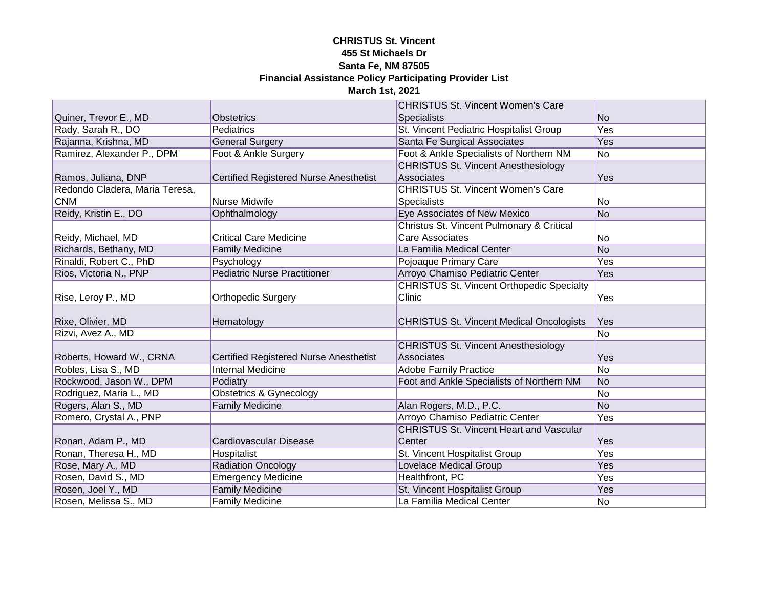|                                |                                               | <b>CHRISTUS St. Vincent Women's Care</b>         |                |
|--------------------------------|-----------------------------------------------|--------------------------------------------------|----------------|
| Quiner, Trevor E., MD          | <b>Obstetrics</b>                             | <b>Specialists</b>                               | N <sub>o</sub> |
| Rady, Sarah R., DO             | Pediatrics                                    | St. Vincent Pediatric Hospitalist Group          | <b>Yes</b>     |
| Rajanna, Krishna, MD           | <b>General Surgery</b>                        | Santa Fe Surgical Associates                     | Yes            |
| Ramirez, Alexander P., DPM     | Foot & Ankle Surgery                          | Foot & Ankle Specialists of Northern NM          | No             |
|                                |                                               | <b>CHRISTUS St. Vincent Anesthesiology</b>       |                |
| Ramos, Juliana, DNP            | <b>Certified Registered Nurse Anesthetist</b> | Associates                                       | Yes            |
| Redondo Cladera, Maria Teresa, |                                               | <b>CHRISTUS St. Vincent Women's Care</b>         |                |
| <b>CNM</b>                     | Nurse Midwife                                 | Specialists                                      | No             |
| Reidy, Kristin E., DO          | Ophthalmology                                 | Eye Associates of New Mexico                     | No             |
|                                |                                               | Christus St. Vincent Pulmonary & Critical        |                |
| Reidy, Michael, MD             | <b>Critical Care Medicine</b>                 | <b>Care Associates</b>                           | No             |
| Richards, Bethany, MD          | <b>Family Medicine</b>                        | La Familia Medical Center                        | No             |
| Rinaldi, Robert C., PhD        | Psychology                                    | Pojoaque Primary Care                            | Yes            |
| Rios, Victoria N., PNP         | <b>Pediatric Nurse Practitioner</b>           | Arroyo Chamiso Pediatric Center                  | Yes            |
|                                |                                               | <b>CHRISTUS St. Vincent Orthopedic Specialty</b> |                |
| Rise, Leroy P., MD             | <b>Orthopedic Surgery</b>                     | Clinic                                           | Yes            |
|                                |                                               |                                                  |                |
| Rixe, Olivier, MD              | Hematology                                    | <b>CHRISTUS St. Vincent Medical Oncologists</b>  | Yes            |
| Rizvi, Avez A., MD             |                                               |                                                  | No             |
|                                |                                               | <b>CHRISTUS St. Vincent Anesthesiology</b>       |                |
| Roberts, Howard W., CRNA       | <b>Certified Registered Nurse Anesthetist</b> | Associates                                       | Yes            |
| Robles, Lisa S., MD            | <b>Internal Medicine</b>                      | <b>Adobe Family Practice</b>                     | N <sub>o</sub> |
| Rockwood, Jason W., DPM        | Podiatry                                      | Foot and Ankle Specialists of Northern NM        | No             |
| Rodriguez, Maria L., MD        | <b>Obstetrics &amp; Gynecology</b>            |                                                  | No             |
| Rogers, Alan S., MD            | <b>Family Medicine</b>                        | Alan Rogers, M.D., P.C.                          | No             |
| Romero, Crystal A., PNP        |                                               | Arroyo Chamiso Pediatric Center                  | Yes            |
|                                |                                               | <b>CHRISTUS St. Vincent Heart and Vascular</b>   |                |
| Ronan, Adam P., MD             | Cardiovascular Disease                        | Center                                           | Yes            |
| Ronan, Theresa H., MD          | Hospitalist                                   | St. Vincent Hospitalist Group                    | Yes            |
| Rose, Mary A., MD              | <b>Radiation Oncology</b>                     | <b>Lovelace Medical Group</b>                    | Yes            |
| Rosen, David S., MD            | <b>Emergency Medicine</b>                     | Healthfront, PC                                  | Yes            |
| Rosen, Joel Y., MD             | <b>Family Medicine</b>                        | St. Vincent Hospitalist Group                    | Yes            |
| Rosen, Melissa S., MD          | <b>Family Medicine</b>                        | La Familia Medical Center                        | No             |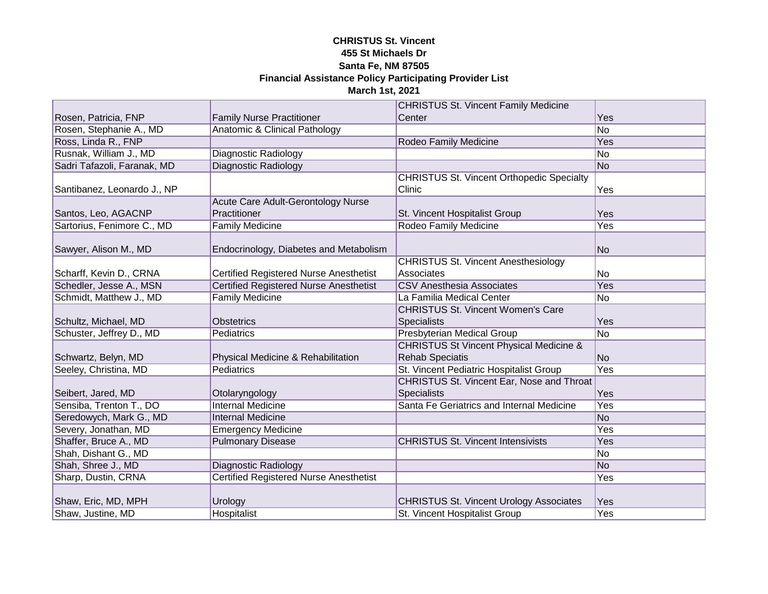|                             |                                               | <b>CHRISTUS St. Vincent Family Medicine</b>        |                  |
|-----------------------------|-----------------------------------------------|----------------------------------------------------|------------------|
| Rosen, Patricia, FNP        | <b>Family Nurse Practitioner</b>              | Center                                             | Yes              |
| Rosen, Stephanie A., MD     | <b>Anatomic &amp; Clinical Pathology</b>      |                                                    | $\overline{No}$  |
| Ross, Linda R., FNP         |                                               | Rodeo Family Medicine                              | <b>Yes</b>       |
| Rusnak, William J., MD      | <b>Diagnostic Radiology</b>                   |                                                    | No               |
| Sadri Tafazoli, Faranak, MD | Diagnostic Radiology                          |                                                    | No               |
|                             |                                               | <b>CHRISTUS St. Vincent Orthopedic Specialty</b>   |                  |
| Santibanez, Leonardo J., NP |                                               | Clinic                                             | Yes              |
|                             | Acute Care Adult-Gerontology Nurse            |                                                    |                  |
| Santos, Leo, AGACNP         | Practitioner                                  | St. Vincent Hospitalist Group                      | Yes              |
| Sartorius, Fenimore C., MD  | <b>Family Medicine</b>                        | Rodeo Family Medicine                              | Yes              |
|                             |                                               |                                                    |                  |
| Sawyer, Alison M., MD       | Endocrinology, Diabetes and Metabolism        |                                                    | No               |
|                             |                                               | <b>CHRISTUS St. Vincent Anesthesiology</b>         |                  |
| Scharff, Kevin D., CRNA     | <b>Certified Registered Nurse Anesthetist</b> | Associates                                         | No               |
| Schedler, Jesse A., MSN     | <b>Certified Registered Nurse Anesthetist</b> | <b>CSV Anesthesia Associates</b>                   | Yes              |
| Schmidt, Matthew J., MD     | <b>Family Medicine</b>                        | La Familia Medical Center                          | No               |
|                             |                                               | <b>CHRISTUS St. Vincent Women's Care</b>           |                  |
| Schultz, Michael, MD        | <b>Obstetrics</b>                             | <b>Specialists</b>                                 | Yes              |
| Schuster, Jeffrey D., MD    | Pediatrics                                    | <b>Presbyterian Medical Group</b>                  | No               |
|                             |                                               | <b>CHRISTUS St Vincent Physical Medicine &amp;</b> |                  |
| Schwartz, Belyn, MD         | Physical Medicine & Rehabilitation            | <b>Rehab Speciatis</b>                             | No               |
| Seeley, Christina, MD       | Pediatrics                                    | St. Vincent Pediatric Hospitalist Group            | Yes              |
|                             |                                               | <b>CHRISTUS St. Vincent Ear, Nose and Throat</b>   |                  |
| Seibert, Jared, MD          | Otolaryngology                                | <b>Specialists</b>                                 | Yes              |
| Sensiba, Trenton T., DO     | <b>Internal Medicine</b>                      | Santa Fe Geriatrics and Internal Medicine          | Yes              |
| Seredowych, Mark G., MD     | <b>Internal Medicine</b>                      |                                                    | N <sub>o</sub>   |
| Severy, Jonathan, MD        | <b>Emergency Medicine</b>                     |                                                    | Yes              |
| Shaffer, Bruce A., MD       | <b>Pulmonary Disease</b>                      | <b>CHRISTUS St. Vincent Intensivists</b>           | Yes              |
| Shah, Dishant G., MD        |                                               |                                                    | No               |
| Shah, Shree J., MD          | <b>Diagnostic Radiology</b>                   |                                                    | N <sub>o</sub>   |
| Sharp, Dustin, CRNA         | <b>Certified Registered Nurse Anesthetist</b> |                                                    | Yes              |
|                             |                                               |                                                    |                  |
| Shaw, Eric, MD, MPH         | Urology                                       | <b>CHRISTUS St. Vincent Urology Associates</b>     | Yes              |
| Shaw, Justine, MD           | Hospitalist                                   | St. Vincent Hospitalist Group                      | $\overline{Yes}$ |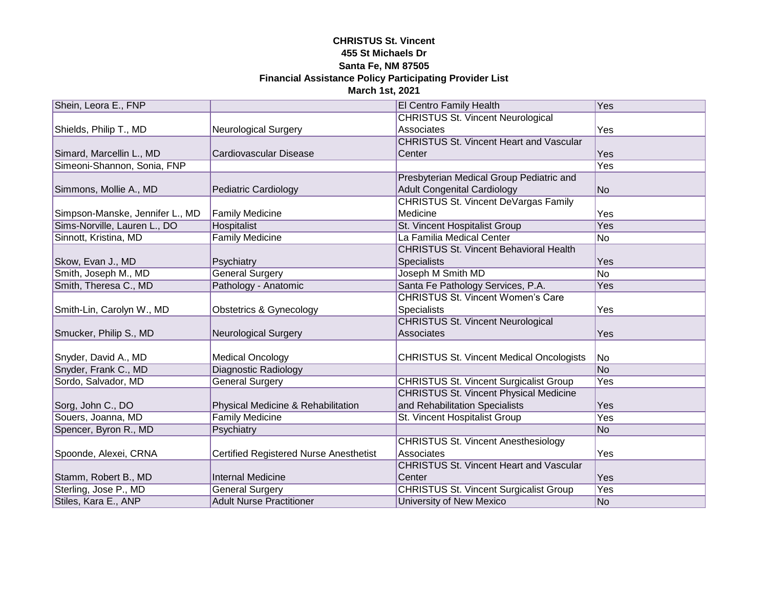| Shein, Leora E., FNP            |                                        | <b>El Centro Family Health</b>                  | Yes            |
|---------------------------------|----------------------------------------|-------------------------------------------------|----------------|
|                                 |                                        | <b>CHRISTUS St. Vincent Neurological</b>        |                |
| Shields, Philip T., MD          | <b>Neurological Surgery</b>            | Associates                                      | Yes            |
|                                 |                                        | <b>CHRISTUS St. Vincent Heart and Vascular</b>  |                |
| Simard, Marcellin L., MD        | Cardiovascular Disease                 | Center                                          | Yes            |
| Simeoni-Shannon, Sonia, FNP     |                                        |                                                 | Yes            |
|                                 |                                        | Presbyterian Medical Group Pediatric and        |                |
| Simmons, Mollie A., MD          | Pediatric Cardiology                   | <b>Adult Congenital Cardiology</b>              | No             |
|                                 |                                        | <b>CHRISTUS St. Vincent DeVargas Family</b>     |                |
| Simpson-Manske, Jennifer L., MD | <b>Family Medicine</b>                 | Medicine                                        | Yes            |
| Sims-Norville, Lauren L., DO    | Hospitalist                            | St. Vincent Hospitalist Group                   | Yes            |
| Sinnott, Kristina, MD           | <b>Family Medicine</b>                 | La Familia Medical Center                       | No             |
|                                 |                                        | <b>CHRISTUS St. Vincent Behavioral Health</b>   |                |
| Skow, Evan J., MD               | Psychiatry                             | Specialists                                     | Yes            |
| Smith, Joseph M., MD            | <b>General Surgery</b>                 | Joseph M Smith MD                               | <b>No</b>      |
| Smith, Theresa C., MD           | Pathology - Anatomic                   | Santa Fe Pathology Services, P.A.               | Yes            |
|                                 |                                        | <b>CHRISTUS St. Vincent Women's Care</b>        |                |
| Smith-Lin, Carolyn W., MD       | <b>Obstetrics &amp; Gynecology</b>     | <b>Specialists</b>                              | Yes            |
|                                 |                                        | <b>CHRISTUS St. Vincent Neurological</b>        |                |
| Smucker, Philip S., MD          | <b>Neurological Surgery</b>            | Associates                                      | Yes            |
|                                 |                                        |                                                 |                |
| Snyder, David A., MD            | <b>Medical Oncology</b>                | <b>CHRISTUS St. Vincent Medical Oncologists</b> | <b>No</b>      |
| Snyder, Frank C., MD            | <b>Diagnostic Radiology</b>            |                                                 | N <sub>o</sub> |
| Sordo, Salvador, MD             | <b>General Surgery</b>                 | <b>CHRISTUS St. Vincent Surgicalist Group</b>   | Yes            |
|                                 |                                        | <b>CHRISTUS St. Vincent Physical Medicine</b>   |                |
| Sorg, John C., DO               | Physical Medicine & Rehabilitation     | and Rehabilitation Specialists                  | Yes            |
| Souers, Joanna, MD              | <b>Family Medicine</b>                 | St. Vincent Hospitalist Group                   | Yes            |
| Spencer, Byron R., MD           | Psychiatry                             |                                                 | No             |
|                                 |                                        | <b>CHRISTUS St. Vincent Anesthesiology</b>      |                |
| Spoonde, Alexei, CRNA           | Certified Registered Nurse Anesthetist | Associates                                      | Yes            |
|                                 |                                        | <b>CHRISTUS St. Vincent Heart and Vascular</b>  |                |
| Stamm, Robert B., MD            | <b>Internal Medicine</b>               | Center                                          | Yes            |
| Sterling, Jose P., MD           | <b>General Surgery</b>                 | <b>CHRISTUS St. Vincent Surgicalist Group</b>   | Yes            |
| Stiles, Kara E., ANP            | <b>Adult Nurse Practitioner</b>        | University of New Mexico                        | No             |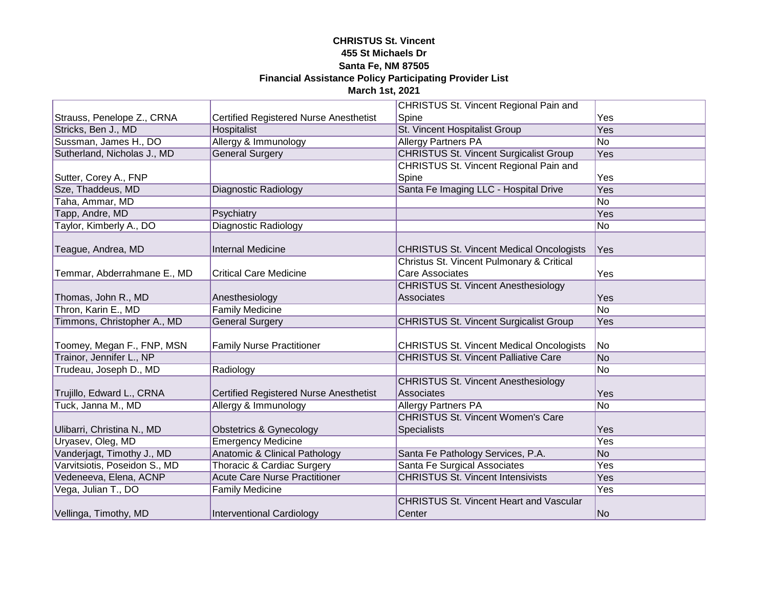|                               |                                               | <b>CHRISTUS St. Vincent Regional Pain and</b>   |                 |
|-------------------------------|-----------------------------------------------|-------------------------------------------------|-----------------|
| Strauss, Penelope Z., CRNA    | <b>Certified Registered Nurse Anesthetist</b> | Spine                                           | Yes             |
| Stricks, Ben J., MD           | Hospitalist                                   | <b>St. Vincent Hospitalist Group</b>            | <b>Yes</b>      |
| Sussman, James H., DO         | Allergy & Immunology                          | <b>Allergy Partners PA</b>                      | N <sub>o</sub>  |
| Sutherland, Nicholas J., MD   | <b>General Surgery</b>                        | <b>CHRISTUS St. Vincent Surgicalist Group</b>   | <b>Yes</b>      |
|                               |                                               | <b>CHRISTUS St. Vincent Regional Pain and</b>   |                 |
| Sutter, Corey A., FNP         |                                               | Spine                                           | Yes             |
| Sze, Thaddeus, MD             | <b>Diagnostic Radiology</b>                   | Santa Fe Imaging LLC - Hospital Drive           | <b>Yes</b>      |
| Taha, Ammar, MD               |                                               |                                                 | N <sub>o</sub>  |
| Tapp, Andre, MD               | Psychiatry                                    |                                                 | Yes             |
| Taylor, Kimberly A., DO       | Diagnostic Radiology                          |                                                 | No              |
|                               |                                               |                                                 |                 |
| Teague, Andrea, MD            | <b>Internal Medicine</b>                      | <b>CHRISTUS St. Vincent Medical Oncologists</b> | Yes             |
|                               |                                               | Christus St. Vincent Pulmonary & Critical       |                 |
| Temmar, Abderrahmane E., MD   | <b>Critical Care Medicine</b>                 | <b>Care Associates</b>                          | Yes             |
|                               |                                               | <b>CHRISTUS St. Vincent Anesthesiology</b>      |                 |
| Thomas, John R., MD           | Anesthesiology                                | Associates                                      | Yes             |
| Thron, Karin E., MD           | <b>Family Medicine</b>                        |                                                 | N <sub>o</sub>  |
| Timmons, Christopher A., MD   | <b>General Surgery</b>                        | <b>CHRISTUS St. Vincent Surgicalist Group</b>   | Yes             |
|                               |                                               |                                                 |                 |
| Toomey, Megan F., FNP, MSN    | <b>Family Nurse Practitioner</b>              | <b>CHRISTUS St. Vincent Medical Oncologists</b> | No              |
| Trainor, Jennifer L., NP      |                                               | <b>CHRISTUS St. Vincent Palliative Care</b>     | N <sub>o</sub>  |
| Trudeau, Joseph D., MD        | Radiology                                     |                                                 | No              |
|                               |                                               | <b>CHRISTUS St. Vincent Anesthesiology</b>      |                 |
| Trujillo, Edward L., CRNA     | <b>Certified Registered Nurse Anesthetist</b> | Associates                                      | Yes             |
| Tuck, Janna M., MD            | Allergy & Immunology                          | <b>Allergy Partners PA</b>                      | $\overline{No}$ |
|                               |                                               | <b>CHRISTUS St. Vincent Women's Care</b>        |                 |
| Ulibarri, Christina N., MD    | Obstetrics & Gynecology                       | <b>Specialists</b>                              | Yes             |
| Uryasev, Oleg, MD             | <b>Emergency Medicine</b>                     |                                                 | Yes             |
| Vanderjagt, Timothy J., MD    | <b>Anatomic &amp; Clinical Pathology</b>      | Santa Fe Pathology Services, P.A.               | No              |
| Varvitsiotis, Poseidon S., MD | Thoracic & Cardiac Surgery                    | Santa Fe Surgical Associates                    | Yes             |
| Vedeneeva, Elena, ACNP        | <b>Acute Care Nurse Practitioner</b>          | <b>CHRISTUS St. Vincent Intensivists</b>        | Yes             |
| Vega, Julian T., DO           | <b>Family Medicine</b>                        |                                                 | Yes             |
|                               |                                               | <b>CHRISTUS St. Vincent Heart and Vascular</b>  |                 |
| Vellinga, Timothy, MD         | <b>Interventional Cardiology</b>              | Center                                          | No              |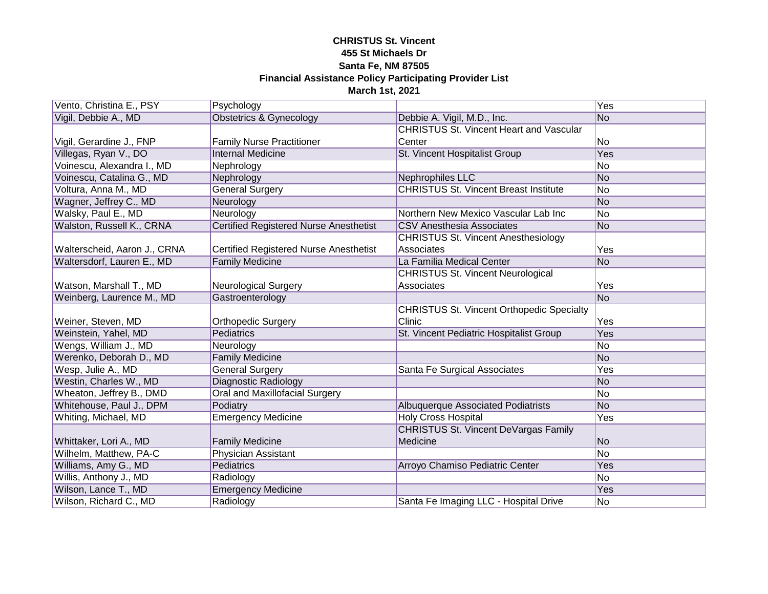| Vento, Christina E., PSY     | Psychology                                    |                                                  | Yes            |
|------------------------------|-----------------------------------------------|--------------------------------------------------|----------------|
| Vigil, Debbie A., MD         | <b>Obstetrics &amp; Gynecology</b>            | Debbie A. Vigil, M.D., Inc.                      | N <sub>o</sub> |
|                              |                                               | <b>CHRISTUS St. Vincent Heart and Vascular</b>   |                |
| Vigil, Gerardine J., FNP     | <b>Family Nurse Practitioner</b>              | Center                                           | No             |
| Villegas, Ryan V., DO        | <b>Internal Medicine</b>                      | St. Vincent Hospitalist Group                    | <b>Yes</b>     |
| Voinescu, Alexandra I., MD   | Nephrology                                    |                                                  | N <sub>o</sub> |
| Voinescu, Catalina G., MD    | Nephrology                                    | <b>Nephrophiles LLC</b>                          | No             |
| Voltura, Anna M., MD         | <b>General Surgery</b>                        | <b>CHRISTUS St. Vincent Breast Institute</b>     | N <sub>o</sub> |
| Wagner, Jeffrey C., MD       | Neurology                                     |                                                  | No             |
| Walsky, Paul E., MD          | Neurology                                     | Northern New Mexico Vascular Lab Inc             | No             |
| Walston, Russell K., CRNA    | <b>Certified Registered Nurse Anesthetist</b> | <b>CSV Anesthesia Associates</b>                 | No             |
|                              |                                               | <b>CHRISTUS St. Vincent Anesthesiology</b>       |                |
| Walterscheid, Aaron J., CRNA | <b>Certified Registered Nurse Anesthetist</b> | Associates                                       | Yes            |
| Waltersdorf, Lauren E., MD   | <b>Family Medicine</b>                        | La Familia Medical Center                        | N <sub>o</sub> |
|                              |                                               | <b>CHRISTUS St. Vincent Neurological</b>         |                |
| Watson, Marshall T., MD      | <b>Neurological Surgery</b>                   | Associates                                       | Yes            |
| Weinberg, Laurence M., MD    | Gastroenterology                              |                                                  | <b>No</b>      |
|                              |                                               | <b>CHRISTUS St. Vincent Orthopedic Specialty</b> |                |
| Weiner, Steven, MD           | <b>Orthopedic Surgery</b>                     | Clinic                                           | Yes            |
| Weinstein, Yahel, MD         | <b>Pediatrics</b>                             | St. Vincent Pediatric Hospitalist Group          | Yes            |
| Wengs, William J., MD        | Neurology                                     |                                                  | No             |
| Werenko, Deborah D., MD      | <b>Family Medicine</b>                        |                                                  | No             |
| Wesp, Julie A., MD           | <b>General Surgery</b>                        | Santa Fe Surgical Associates                     | Yes            |
| Westin, Charles W., MD       | <b>Diagnostic Radiology</b>                   |                                                  | No             |
| Wheaton, Jeffrey B., DMD     | Oral and Maxillofacial Surgery                |                                                  | No             |
| Whitehouse, Paul J., DPM     | Podiatry                                      | <b>Albuquerque Associated Podiatrists</b>        | No             |
| Whiting, Michael, MD         | <b>Emergency Medicine</b>                     | <b>Holy Cross Hospital</b>                       | Yes            |
|                              |                                               | <b>CHRISTUS St. Vincent DeVargas Family</b>      |                |
| Whittaker, Lori A., MD       | <b>Family Medicine</b>                        | Medicine                                         | N <sub>o</sub> |
| Wilhelm, Matthew, PA-C       | Physician Assistant                           |                                                  | No             |
| Williams, Amy G., MD         | Pediatrics                                    | Arroyo Chamiso Pediatric Center                  | Yes            |
| Willis, Anthony J., MD       | Radiology                                     |                                                  | No             |
| Wilson, Lance T., MD         | <b>Emergency Medicine</b>                     |                                                  | Yes            |
| Wilson, Richard C., MD       | Radiology                                     | Santa Fe Imaging LLC - Hospital Drive            | No             |